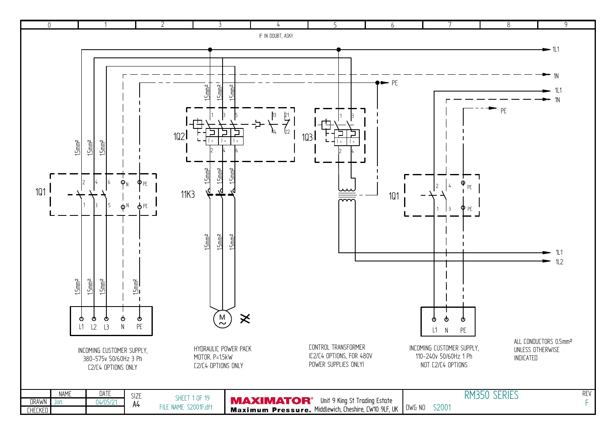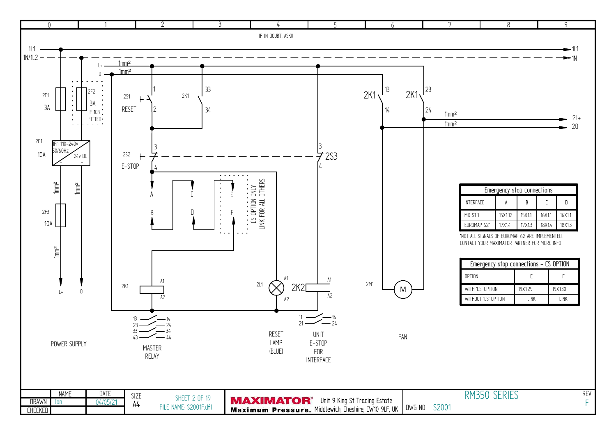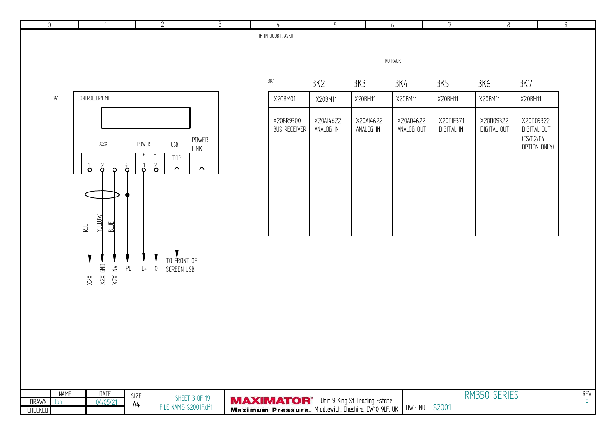| $\overline{0}$                 |                       |                                                                           |                                         | $\overline{2}$                                           | $\overline{\mathbf{3}}$ | $\overline{4}$                                                                                                      | 5                      |                        | 6                       | 7                       | $\overline{8}$           |                                                       | $\overline{9}$            |
|--------------------------------|-----------------------|---------------------------------------------------------------------------|-----------------------------------------|----------------------------------------------------------|-------------------------|---------------------------------------------------------------------------------------------------------------------|------------------------|------------------------|-------------------------|-------------------------|--------------------------|-------------------------------------------------------|---------------------------|
|                                |                       |                                                                           |                                         |                                                          |                         | IF IN DOUBT, ASK!!                                                                                                  |                        |                        |                         |                         |                          |                                                       |                           |
|                                |                       |                                                                           |                                         |                                                          |                         |                                                                                                                     |                        |                        | $\textsf{I/O}$ RACK     |                         |                          |                                                       |                           |
|                                |                       |                                                                           |                                         |                                                          |                         | 3K1                                                                                                                 | 3K2                    | 3K3                    | 3K4                     | 3K5                     | 3K6                      | 3K7                                                   |                           |
|                                | 3A1                   | CONTROLLER/HMI                                                            |                                         |                                                          |                         | X20BM01                                                                                                             | X20BM11                | X20BM11                | X20BM11                 | X20BM11                 | X20BM11                  | X20BM11                                               |                           |
|                                |                       | X2X<br>$\vec{\mathbf{\circ}}$<br>$\vec{\mathsf{p}}$<br>$\circ$            | POWER<br>$\mathbf{\dot{o}}$<br>$\sigma$ | $\ensuremath{\mathsf{USB}}$<br>TOP<br>$\frac{2}{9}$<br>ሖ | POWER<br>LINK<br>ለ.     | X20BR9300<br>BUS RECEIVER                                                                                           | X20AI4622<br>ANALOG IN | X20AI4622<br>ANALOG IN | X20A04622<br>ANALOG OUT | X20DIF371<br>DIGITAL IN | X20D09322<br>DIGITAL OUT | X20D09322<br>DIGITAL OUT<br>ICS/C2/C4<br>OPTION ONLY) |                           |
|                                |                       | YELLOW<br><b>BLUE</b><br><b>RED</b><br>X2X GND -<br>X2X INV -<br>$\times$ | $\mathsf{PE}$<br>$L+$                   | TO FRONT OF<br>$\overline{0}$<br>SCREEN USB              |                         |                                                                                                                     |                        |                        |                         |                         |                          |                                                       |                           |
| <b>DRAWN</b><br><b>CHECKED</b> | <b>NAME</b><br>$J$ on | <b>DATE</b><br>04/05/21                                                   | SIZE<br>A4                              | FILE NAME: S2001F.dft                                    | <b>SHEET 3 OF 19</b>    | <b>MAXIMATOR</b> <sup>®</sup> Unit 9 King St Trading Estate<br>Maximum Pressure. Middlewich, Cheshire, CW10 9LF, UK |                        |                        | DWG NO S2001            |                         | RM350 SERIES             |                                                       | <b>REV</b><br>$\mathsf F$ |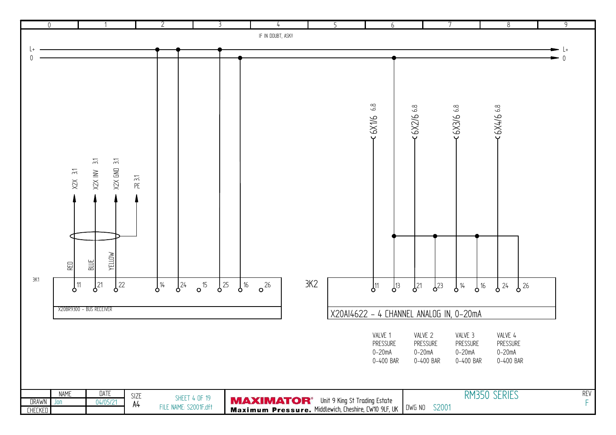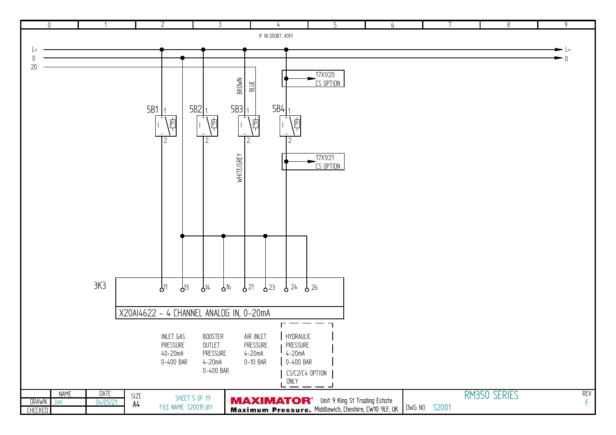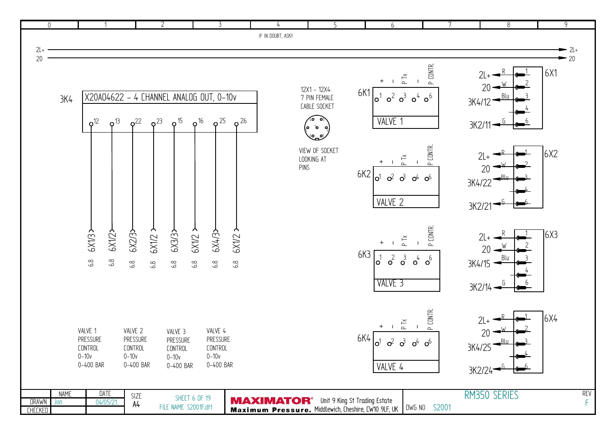| $\overline{0}$       |                 |                                |                                  | $\overline{2}$         | 3                                                          |                                                                                                                     | 5                  | 6                            |                                                                                                           | $\overline{8}$      | $\overline{9}$ |
|----------------------|-----------------|--------------------------------|----------------------------------|------------------------|------------------------------------------------------------|---------------------------------------------------------------------------------------------------------------------|--------------------|------------------------------|-----------------------------------------------------------------------------------------------------------|---------------------|----------------|
|                      |                 |                                |                                  |                        |                                                            | IF IN DOUBT, ASK!!                                                                                                  |                    |                              |                                                                                                           |                     |                |
| $2L+$                |                 |                                |                                  |                        |                                                            |                                                                                                                     |                    |                              |                                                                                                           |                     | $-2l+$         |
| 20                   |                 |                                |                                  |                        |                                                            |                                                                                                                     |                    |                              |                                                                                                           |                     | $-20$          |
|                      |                 |                                |                                  |                        |                                                            |                                                                                                                     |                    |                              |                                                                                                           |                     |                |
|                      |                 |                                |                                  |                        |                                                            |                                                                                                                     |                    |                              | P CONTR.<br>$\ensuremath{\mathop{\rightharpoonup}\limits^{\mathop{\smash{\sim}}\limits}}$<br>$\mathbf{I}$ |                     | 6X1            |
|                      |                 |                                |                                  |                        |                                                            |                                                                                                                     | 12X1 - 12X4:       |                              |                                                                                                           |                     |                |
|                      | 3K <sub>4</sub> |                                |                                  |                        | X20A04622 - 4 CHANNEL ANALOG OUT, 0-10v                    |                                                                                                                     | 7 PIN FEMALE       | 6K1<br>$\sigma^2$<br>lo'     | $\sigma^3$<br>$\circ^6$<br>$\circ^4$                                                                      | 3K4/12              |                |
|                      |                 |                                |                                  |                        |                                                            |                                                                                                                     | CABLE SOCKET       |                              |                                                                                                           |                     |                |
|                      |                 | $\rho^{13}$<br>o <sup>12</sup> | $o^{22}$<br>$o^{23}$             | $\rho^{15}$            | $\varphi$ <sup>16</sup><br>$\sigma^{25}$<br>$\varphi^{26}$ |                                                                                                                     | 40                 | VALVE 1                      |                                                                                                           |                     |                |
|                      |                 |                                |                                  |                        |                                                            |                                                                                                                     | ه ه م)             |                              |                                                                                                           | 3K2/11              |                |
|                      |                 |                                |                                  |                        |                                                            |                                                                                                                     | 60.                |                              |                                                                                                           |                     |                |
|                      |                 |                                |                                  |                        |                                                            |                                                                                                                     | VIEW OF SOCKET     |                              | P CONTR.                                                                                                  | $2L+$               | 6X2            |
|                      |                 |                                |                                  |                        |                                                            |                                                                                                                     | LOOKING AT<br>PINS |                              | P Tx                                                                                                      |                     |                |
|                      |                 |                                |                                  |                        |                                                            |                                                                                                                     |                    | 6K2<br>o1                    | $\sigma^2$ $\sigma^3$<br>$O^{4}$ $O^{6}$                                                                  | 20                  |                |
|                      |                 |                                |                                  |                        |                                                            |                                                                                                                     |                    |                              |                                                                                                           | 3K4/22              |                |
|                      |                 |                                |                                  |                        |                                                            |                                                                                                                     |                    |                              |                                                                                                           |                     |                |
|                      |                 |                                |                                  |                        |                                                            |                                                                                                                     |                    | VALVE 2                      |                                                                                                           | 3K2/21              |                |
|                      |                 |                                |                                  |                        |                                                            |                                                                                                                     |                    |                              |                                                                                                           |                     |                |
|                      |                 |                                |                                  |                        |                                                            |                                                                                                                     |                    |                              |                                                                                                           |                     |                |
|                      |                 | 6X1/2><br><b>6X1/32</b>        | $6$ X1/2 $\rightarrow$<br>6X2/3> | 6X3/3>                 | 5x/12<br>$6X1/2$ ><br><b>PX4/3&gt;</b>                     |                                                                                                                     |                    | $\ddot{}$                    | P CONTR.<br>P Tx                                                                                          | $2L+$               | $\sqrt{6}$ X3  |
|                      |                 |                                |                                  |                        |                                                            |                                                                                                                     |                    | 6K3                          |                                                                                                           | 20                  |                |
|                      |                 | $6.8$<br>6.8                   | $6.8$<br>6.8                     | 6.8                    | $6.8\,$<br>6.8<br>$6.8\,$                                  |                                                                                                                     |                    | $\sigma^2$<br>$\circ'$       | $\sigma^3$<br>$o^4$<br>$o^6$                                                                              | Blu<br>3K4/15       |                |
|                      |                 |                                |                                  |                        |                                                            |                                                                                                                     |                    |                              |                                                                                                           |                     |                |
|                      |                 |                                |                                  |                        |                                                            |                                                                                                                     |                    | VALVE <sub>3</sub>           |                                                                                                           | $3K2/14 -$          |                |
|                      |                 |                                |                                  |                        |                                                            |                                                                                                                     |                    |                              |                                                                                                           |                     |                |
|                      |                 |                                |                                  |                        |                                                            |                                                                                                                     |                    |                              |                                                                                                           |                     |                |
|                      |                 |                                |                                  |                        |                                                            |                                                                                                                     |                    |                              | P CONTR.                                                                                                  | $2L+$               | 6X4            |
|                      |                 | VALVE 1                        | VALVE 2                          | VALVE 3                | VALVE 4                                                    |                                                                                                                     |                    | $+$<br>$\blacksquare$        | P X                                                                                                       | 20                  |                |
|                      |                 | PRESSURE                       | PRESSURE                         | PRESSURE               | PRESSURE                                                   |                                                                                                                     |                    | 6K4<br>$\sigma^2$<br>$\circ$ | $\mathbf{c}^3$<br>o <sup>6</sup><br>o <sup>4</sup>                                                        |                     |                |
|                      |                 | <b>CONTROL</b>                 | <b>CONTROL</b>                   | <b>CONTROL</b>         | <b>CONTROL</b>                                             |                                                                                                                     |                    |                              |                                                                                                           | 3K4/25              |                |
|                      |                 | $0 - 10v$<br>0-400 BAR         | $0 - 10v$<br>0-400 BAR           | $0 - 10v$<br>0-400 BAR | $0 - 10v$<br>0-400 BAR                                     |                                                                                                                     |                    |                              |                                                                                                           |                     |                |
|                      |                 |                                |                                  |                        |                                                            |                                                                                                                     |                    | VALVE 4                      |                                                                                                           | 3K2/24 <sup>-</sup> |                |
|                      |                 |                                |                                  |                        |                                                            |                                                                                                                     |                    |                              |                                                                                                           |                     |                |
|                      | <b>NAME</b>     | DATE                           | SIZE                             | <b>SHEET 6 OF 19</b>   |                                                            |                                                                                                                     |                    |                              |                                                                                                           | RM350 SERIES        | <b>REV</b>     |
| DRAWN Jon<br>CHECKED |                 | 04/05/21                       | A4                               | FILE NAME: S2001F.dft  |                                                            | <b>MAXIMATOR</b> <sup>®</sup> Unit 9 King St Trading Estate<br>Maximum Pressure. Middlewich, Cheshire, CW10 9LF, UK |                    |                              | DWG NO S2001                                                                                              |                     | F              |
|                      |                 |                                |                                  |                        |                                                            |                                                                                                                     |                    |                              |                                                                                                           |                     |                |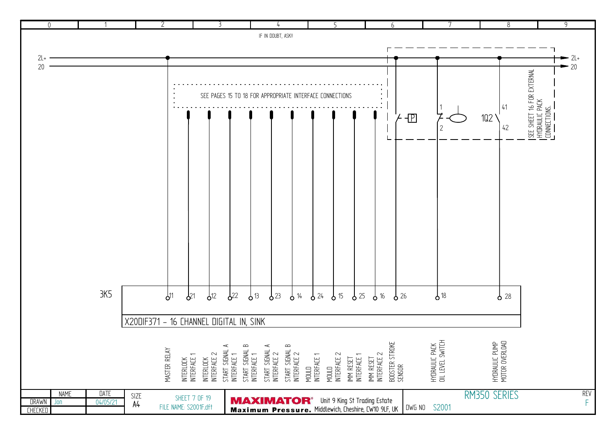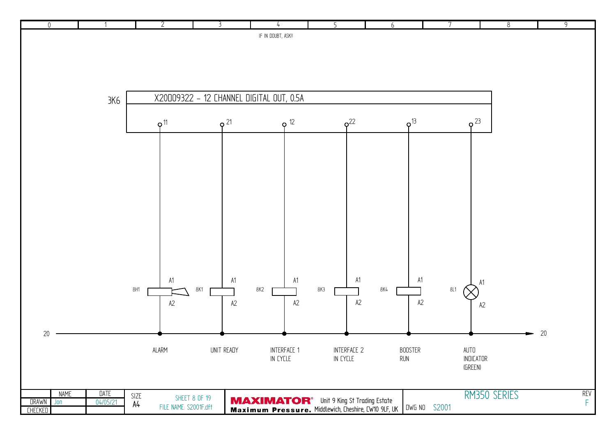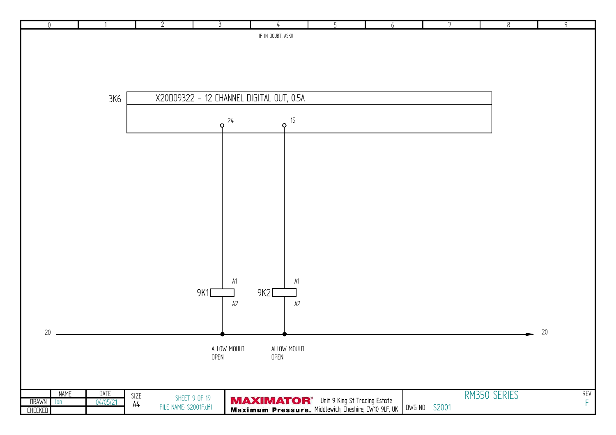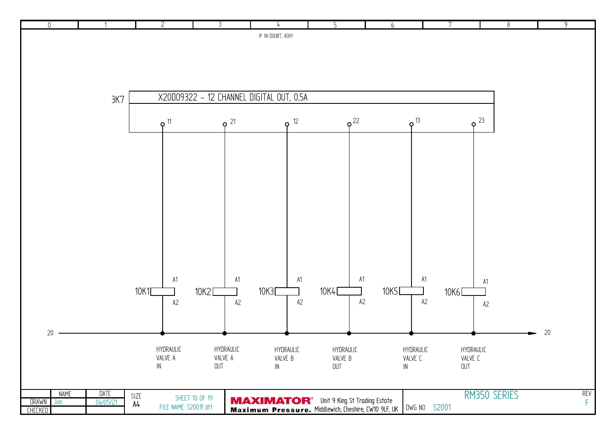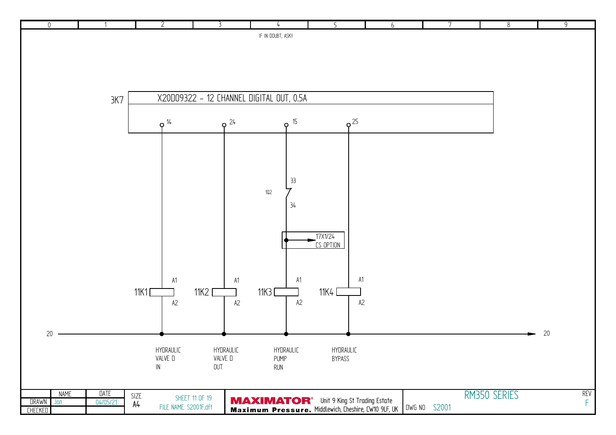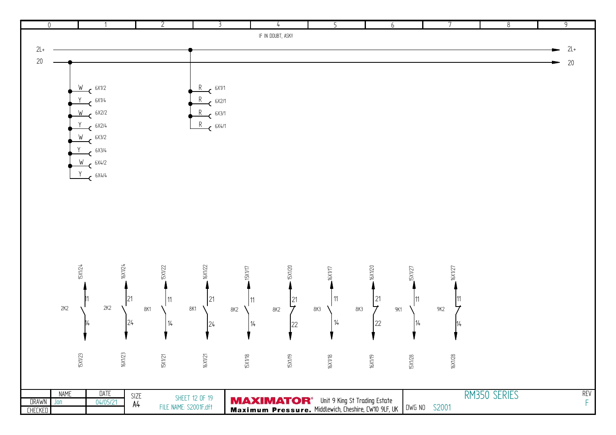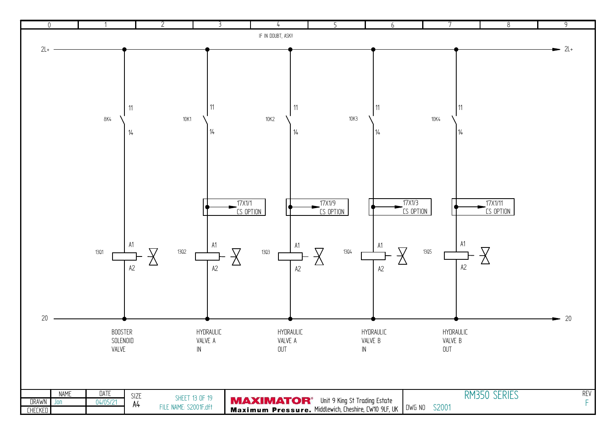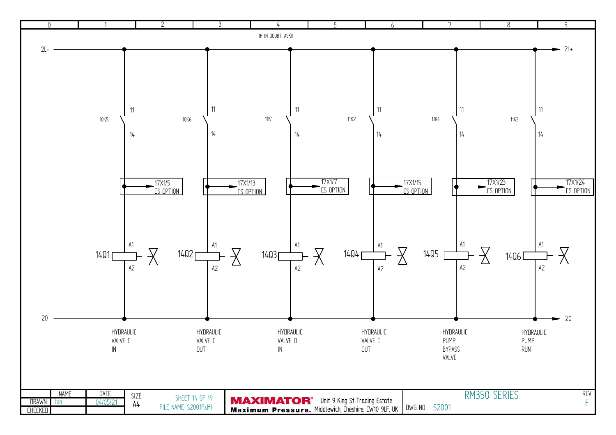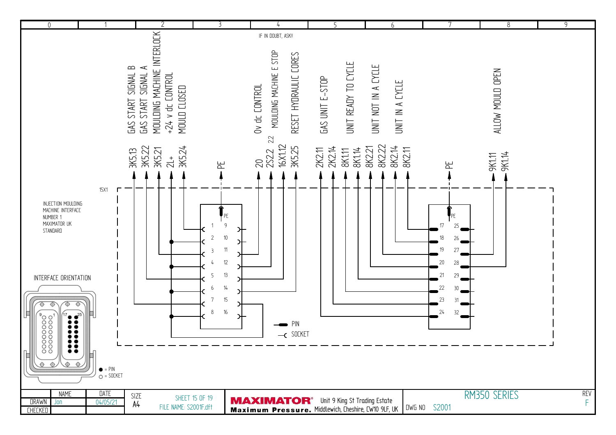| $\mathbf 0$                                                                                                                                                                                                                                                                                    |                                         |                              | $\overline{2}$                                                                                            |                                                                                                                            |                                                                                                                     | 5                                                  | 6                                          |                                                                                                                          | $\,8\,$          | $\overline{9}$  |
|------------------------------------------------------------------------------------------------------------------------------------------------------------------------------------------------------------------------------------------------------------------------------------------------|-----------------------------------------|------------------------------|-----------------------------------------------------------------------------------------------------------|----------------------------------------------------------------------------------------------------------------------------|---------------------------------------------------------------------------------------------------------------------|----------------------------------------------------|--------------------------------------------|--------------------------------------------------------------------------------------------------------------------------|------------------|-----------------|
|                                                                                                                                                                                                                                                                                                |                                         | SIGNAL B<br><b>GAS START</b> | MOULDING MACHINE INTERLOCK<br>$\prec$<br>SIGNAL<br>$+24$ v dc CONTROL<br>MOULD CLOSED<br><b>GAS START</b> |                                                                                                                            | IF IN DOUBT, ASK!!<br>MOULDING MACHINE E STOP<br>RESET HYDRAULIC CORES<br>Ov dc CONTROL<br>22                       | UNIT READY TO CYCLE<br>GAS UNIT E-STOP             | UNIT NOT IN A CYCLE<br>UNIT IN A EYELE     |                                                                                                                          | ALLOW MOULD OPEN |                 |
| INJECTION MOULDING<br>MACHINE INTERFACE<br>NUMBER 1<br>MAXIMATOR UK<br>STANDARD<br>INTERFACE ORIENTATION<br>$\frac{1}{2}$<br>$\overline{\bigcirc}$<br>⊕<br>$\mathbf{r}$<br>$\begin{array}{c} 00000000 \cr 00000000 \cr \end{array}$<br>Ħ<br>$\bullet\bullet$<br>$\circ$ $\circ$<br>$\bigoplus$ | 15X1<br>$\bullet$ = PIN<br>$O = SOCKET$ | 3K5.13                       | 3K5.22<br>3K5.24<br><b>3K5.21</b><br>$\frac{1}{2}$                                                        | 노<br>PE<br>9<br>স<br>$10\,$<br>$\overline{2}$<br>11<br>3<br>$12\,$<br>13<br>5<br>$14\,$<br>6<br>$15\,$<br>7<br>$16\,$<br>8 | 16X1.12<br>3K5.25<br>20<br>2S22<br>PIN<br>$\overline{\phantom{0}}$ SOCKET                                           | 2K2.14<br><b>BK1.14</b><br>2K2.11<br><b>BK1.11</b> | 8K2.22<br>8K2.14<br><b>BK221</b><br>8K2.11 | 뇬<br>PE<br>17<br>25<br>18<br>26<br>19<br>27<br>20<br>28<br>$21\,$<br>29<br>22<br>30 <sup>°</sup><br>23<br>31<br>24<br>32 | 9K1.14<br>9K1.11 |                 |
| <b>NAME</b><br><b>DRAWN</b><br>Jon<br><b>CHECKED</b>                                                                                                                                                                                                                                           | <b>DATE</b><br>04/05/21                 | SIZE<br>A4                   | FILE NAME: S2001F.dft                                                                                     | SHEET 15 OF 19                                                                                                             | <b>MAXIMATOR</b> <sup>®</sup> Unit 9 King St Trading Estate<br>Maximum Pressure. Middlewich, Cheshire, CW10 9LF, UK |                                                    |                                            | DWG NO S2001                                                                                                             | RM350 SERIES     | <b>REV</b><br>F |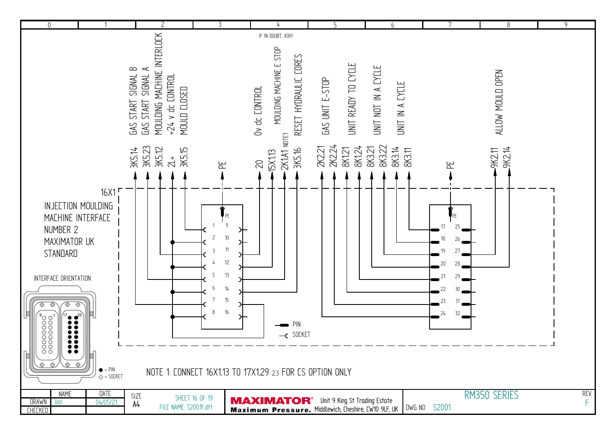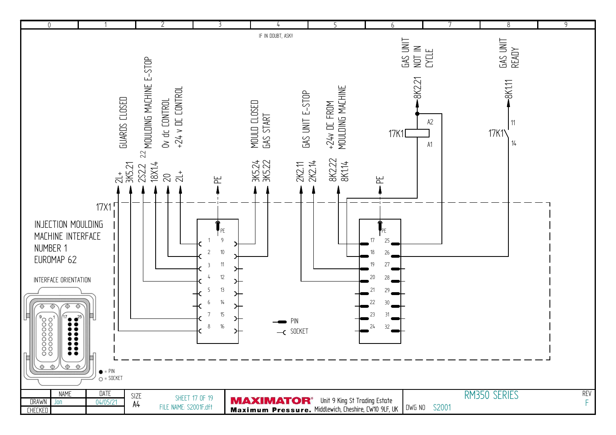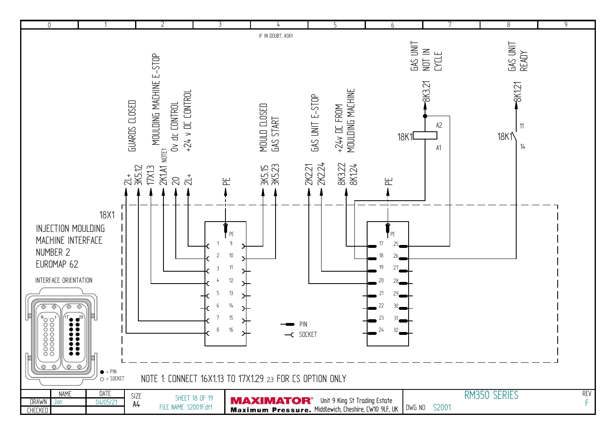